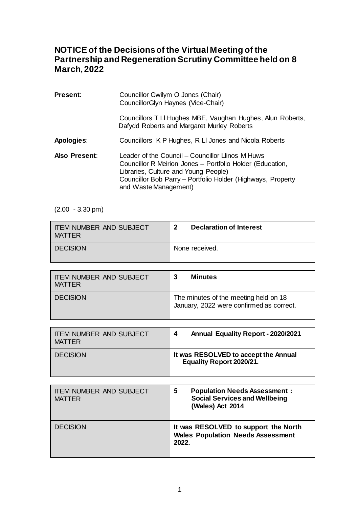## **NOTICE of the Decisions of the Virtual Meeting of the Partnership and Regeneration Scrutiny Committee held on 8 March, 2022**

| <b>Present:</b>      | Councillor Gwilym O Jones (Chair)<br>CouncillorGlyn Haynes (Vice-Chair)                                                                                                                                                                       |
|----------------------|-----------------------------------------------------------------------------------------------------------------------------------------------------------------------------------------------------------------------------------------------|
|                      | Councillors T LI Hughes MBE, Vaughan Hughes, Alun Roberts,<br>Dafydd Roberts and Margaret Murley Roberts                                                                                                                                      |
| Apologies:           | Councillors K P Hughes, R LI Jones and Nicola Roberts                                                                                                                                                                                         |
| <b>Also Present:</b> | Leader of the Council – Councillor Llinos M Huws<br>Councillor R Meirion Jones - Portfolio Holder (Education,<br>Libraries, Culture and Young People)<br>Councillor Bob Parry - Portfolio Holder (Highways, Property<br>and Waste Management) |

 $(2.00 - 3.30 \text{ pm})$ 

| <b>ITEM NUMBER AND SUBJECT</b> | <b>Declaration of Interest</b> |
|--------------------------------|--------------------------------|
| <b>MATTER</b>                  | כי                             |
| <b>DECISION</b>                | None received.                 |

| <b>I ITEM NUMBER AND SUBJECT</b><br>MATTER | <b>Minutes</b>                                                                    |
|--------------------------------------------|-----------------------------------------------------------------------------------|
| <b>DECISION</b>                            | The minutes of the meeting held on 18<br>January, 2022 were confirmed as correct. |

| <b>ITEM NUMBER AND SUBJECT</b> | <b>Annual Equality Report - 2020/2021</b>                               |
|--------------------------------|-------------------------------------------------------------------------|
| <b>MATTER</b>                  | 4                                                                       |
| <b>DECISION</b>                | It was RESOLVED to accept the Annual<br><b>Equality Report 2020/21.</b> |

| <b>ITEM NUMBER AND SUBJECT</b><br><b>MATTER</b> | <b>Population Needs Assessment:</b><br>5<br><b>Social Services and Wellbeing</b><br>(Wales) Act 2014 |
|-------------------------------------------------|------------------------------------------------------------------------------------------------------|
| <b>DECISION</b>                                 | It was RESOLVED to support the North<br><b>Wales Population Needs Assessment</b><br>2022.            |